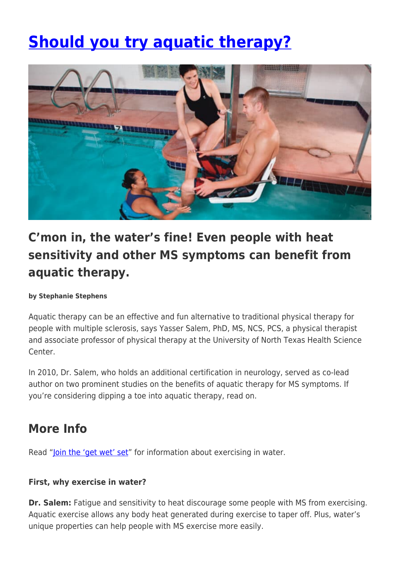# **[Should you try aquatic therapy?](https://momentummagazineonline.com/join-the-get-wet-set-and-more-aquatic-therapy-tips/)**



## **C'mon in, the water's fine! Even people with heat sensitivity and other MS symptoms can benefit from aquatic therapy.**

#### **by Stephanie Stephens**

Aquatic therapy can be an effective and fun alternative to traditional physical therapy for people with multiple sclerosis, says Yasser Salem, PhD, MS, NCS, PCS, a physical therapist and associate professor of physical therapy at the University of North Texas Health Science Center.

In 2010, Dr. Salem, who holds an additional certification in neurology, served as co-lead author on two prominent studies on the benefits of aquatic therapy for MS symptoms. If you're considering dipping a toe into aquatic therapy, read on.

### **More Info**

Read ["Join the 'get wet' set](https://momentummagazineonline.com/join-the-get-wet-set-and-more-aquatic-therapy-tips/)" for information about exercising in water.

#### **First, why exercise in water?**

**Dr. Salem:** Fatigue and sensitivity to heat discourage some people with MS from exercising. Aquatic exercise allows any body heat generated during exercise to taper off. Plus, water's unique properties can help people with MS exercise more easily.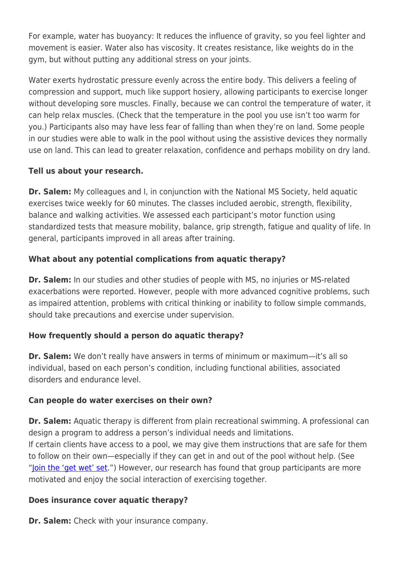For example, water has buoyancy: It reduces the influence of gravity, so you feel lighter and movement is easier. Water also has viscosity. It creates resistance, like weights do in the gym, but without putting any additional stress on your joints.

Water exerts hydrostatic pressure evenly across the entire body. This delivers a feeling of compression and support, much like support hosiery, allowing participants to exercise longer without developing sore muscles. Finally, because we can control the temperature of water, it can help relax muscles. (Check that the temperature in the pool you use isn't too warm for you.) Participants also may have less fear of falling than when they're on land. Some people in our studies were able to walk in the pool without using the assistive devices they normally use on land. This can lead to greater relaxation, confidence and perhaps mobility on dry land.

#### **Tell us about your research.**

**Dr. Salem:** My colleagues and I, in conjunction with the National MS Society, held aquatic exercises twice weekly for 60 minutes. The classes included aerobic, strength, flexibility, balance and walking activities. We assessed each participant's motor function using standardized tests that measure mobility, balance, grip strength, fatigue and quality of life. In general, participants improved in all areas after training.

#### **What about any potential complications from aquatic therapy?**

**Dr. Salem:** In our studies and other studies of people with MS, no injuries or MS-related exacerbations were reported. However, people with more advanced cognitive problems, such as impaired attention, problems with critical thinking or inability to follow simple commands, should take precautions and exercise under supervision.

#### **How frequently should a person do aquatic therapy?**

**Dr. Salem:** We don't really have answers in terms of minimum or maximum—it's all so individual, based on each person's condition, including functional abilities, associated disorders and endurance level.

#### **Can people do water exercises on their own?**

**Dr. Salem:** Aquatic therapy is different from plain recreational swimming. A professional can design a program to address a person's individual needs and limitations. If certain clients have access to a pool, we may give them instructions that are safe for them to follow on their own—especially if they can get in and out of the pool without help. (See ["Join the 'get wet' set](https://momentummagazineonline.com/join-the-get-wet-set-and-more-aquatic-therapy-tips/).") However, our research has found that group participants are more motivated and enjoy the social interaction of exercising together.

#### **Does insurance cover aquatic therapy?**

**Dr. Salem:** Check with your insurance company.